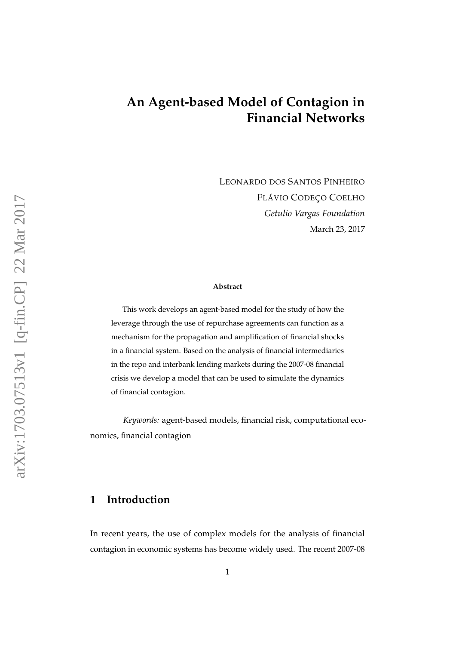# **An Agent-based Model of Contagion in Financial Networks**

LEONARDO DOS SANTOS PINHEIRO FLÁVIO CODEÇO COELHO *Getulio Vargas Foundation* March 23, 2017

#### **Abstract**

This work develops an agent-based model for the study of how the leverage through the use of repurchase agreements can function as a mechanism for the propagation and amplification of financial shocks in a financial system. Based on the analysis of financial intermediaries in the repo and interbank lending markets during the 2007-08 financial crisis we develop a model that can be used to simulate the dynamics of financial contagion.

*Keywords:* agent-based models, financial risk, computational economics, financial contagion

### **1 Introduction**

In recent years, the use of complex models for the analysis of financial contagion in economic systems has become widely used. The recent 2007-08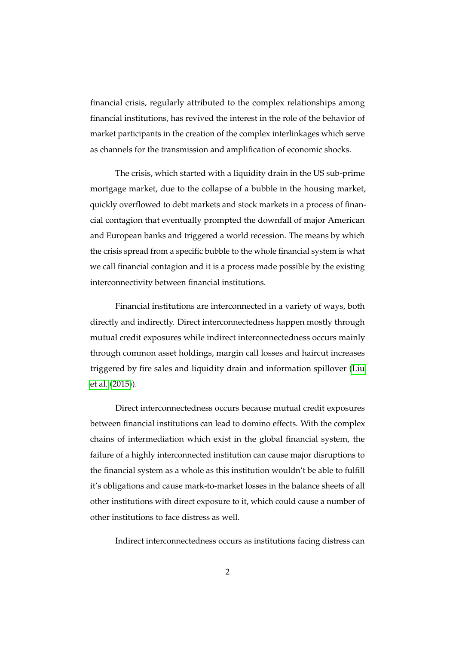financial crisis, regularly attributed to the complex relationships among financial institutions, has revived the interest in the role of the behavior of market participants in the creation of the complex interlinkages which serve as channels for the transmission and amplification of economic shocks.

The crisis, which started with a liquidity drain in the US sub-prime mortgage market, due to the collapse of a bubble in the housing market, quickly overflowed to debt markets and stock markets in a process of financial contagion that eventually prompted the downfall of major American and European banks and triggered a world recession. The means by which the crisis spread from a specific bubble to the whole financial system is what we call financial contagion and it is a process made possible by the existing interconnectivity between financial institutions.

Financial institutions are interconnected in a variety of ways, both directly and indirectly. Direct interconnectedness happen mostly through mutual credit exposures while indirect interconnectedness occurs mainly through common asset holdings, margin call losses and haircut increases triggered by fire sales and liquidity drain and information spillover [\(Liu](#page-29-0) [et al.](#page-29-0) [\(2015\)](#page-29-0)).

Direct interconnectedness occurs because mutual credit exposures between financial institutions can lead to domino effects. With the complex chains of intermediation which exist in the global financial system, the failure of a highly interconnected institution can cause major disruptions to the financial system as a whole as this institution wouldn't be able to fulfill it's obligations and cause mark-to-market losses in the balance sheets of all other institutions with direct exposure to it, which could cause a number of other institutions to face distress as well.

Indirect interconnectedness occurs as institutions facing distress can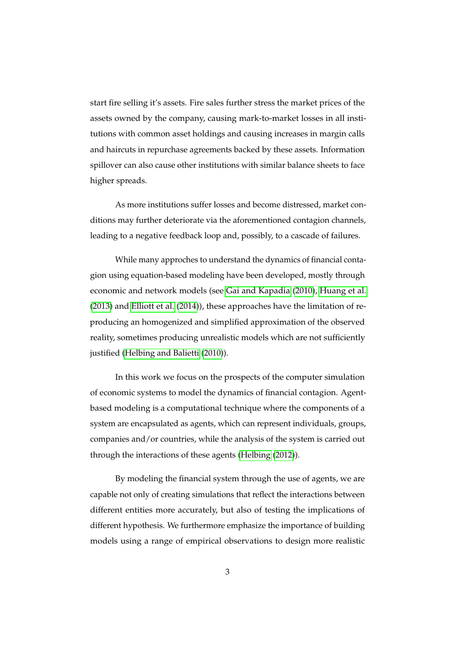start fire selling it's assets. Fire sales further stress the market prices of the assets owned by the company, causing mark-to-market losses in all institutions with common asset holdings and causing increases in margin calls and haircuts in repurchase agreements backed by these assets. Information spillover can also cause other institutions with similar balance sheets to face higher spreads.

As more institutions suffer losses and become distressed, market conditions may further deteriorate via the aforementioned contagion channels, leading to a negative feedback loop and, possibly, to a cascade of failures.

While many approches to understand the dynamics of financial contagion using equation-based modeling have been developed, mostly through economic and network models (see [Gai and Kapadia](#page-27-0) [\(2010\)](#page-27-0), [Huang et al.](#page-28-0) [\(2013\)](#page-28-0) and [Elliott et al.](#page-27-1) [\(2014\)](#page-27-1)), these approaches have the limitation of reproducing an homogenized and simplified approximation of the observed reality, sometimes producing unrealistic models which are not sufficiently justified [\(Helbing and Balietti](#page-28-1) [\(2010\)](#page-28-1)).

In this work we focus on the prospects of the computer simulation of economic systems to model the dynamics of financial contagion. Agentbased modeling is a computational technique where the components of a system are encapsulated as agents, which can represent individuals, groups, companies and/or countries, while the analysis of the system is carried out through the interactions of these agents [\(Helbing](#page-28-2) [\(2012\)](#page-28-2)).

By modeling the financial system through the use of agents, we are capable not only of creating simulations that reflect the interactions between different entities more accurately, but also of testing the implications of different hypothesis. We furthermore emphasize the importance of building models using a range of empirical observations to design more realistic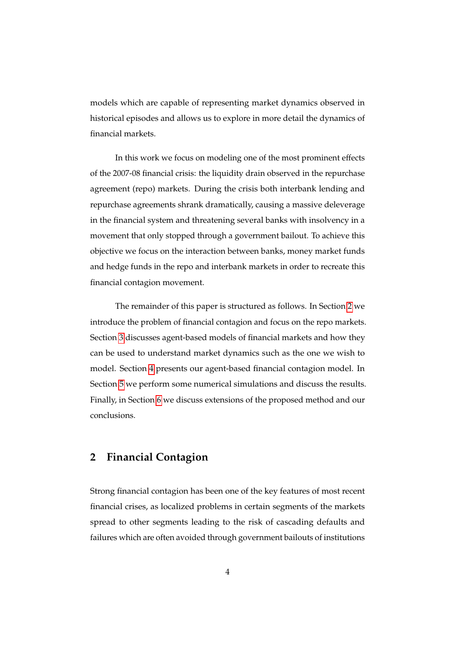models which are capable of representing market dynamics observed in historical episodes and allows us to explore in more detail the dynamics of financial markets.

In this work we focus on modeling one of the most prominent effects of the 2007-08 financial crisis: the liquidity drain observed in the repurchase agreement (repo) markets. During the crisis both interbank lending and repurchase agreements shrank dramatically, causing a massive deleverage in the financial system and threatening several banks with insolvency in a movement that only stopped through a government bailout. To achieve this objective we focus on the interaction between banks, money market funds and hedge funds in the repo and interbank markets in order to recreate this financial contagion movement.

The remainder of this paper is structured as follows. In Section [2](#page-3-0) we introduce the problem of financial contagion and focus on the repo markets. Section [3](#page-5-0) discusses agent-based models of financial markets and how they can be used to understand market dynamics such as the one we wish to model. Section [4](#page-8-0) presents our agent-based financial contagion model. In Section [5](#page-21-0) we perform some numerical simulations and discuss the results. Finally, in Section [6](#page-24-0) we discuss extensions of the proposed method and our conclusions.

## <span id="page-3-0"></span>**2 Financial Contagion**

Strong financial contagion has been one of the key features of most recent financial crises, as localized problems in certain segments of the markets spread to other segments leading to the risk of cascading defaults and failures which are often avoided through government bailouts of institutions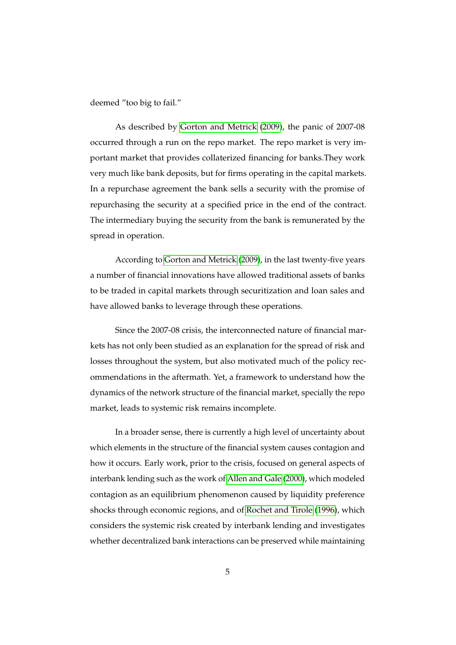deemed "too big to fail."

As described by [Gorton and Metrick](#page-27-2) [\(2009\)](#page-27-2), the panic of 2007-08 occurred through a run on the repo market. The repo market is very important market that provides collaterized financing for banks.They work very much like bank deposits, but for firms operating in the capital markets. In a repurchase agreement the bank sells a security with the promise of repurchasing the security at a specified price in the end of the contract. The intermediary buying the security from the bank is remunerated by the spread in operation.

According to [Gorton and Metrick](#page-27-2) [\(2009\)](#page-27-2), in the last twenty-five years a number of financial innovations have allowed traditional assets of banks to be traded in capital markets through securitization and loan sales and have allowed banks to leverage through these operations.

Since the 2007-08 crisis, the interconnected nature of financial markets has not only been studied as an explanation for the spread of risk and losses throughout the system, but also motivated much of the policy recommendations in the aftermath. Yet, a framework to understand how the dynamics of the network structure of the financial market, specially the repo market, leads to systemic risk remains incomplete.

In a broader sense, there is currently a high level of uncertainty about which elements in the structure of the financial system causes contagion and how it occurs. Early work, prior to the crisis, focused on general aspects of interbank lending such as the work of [Allen and Gale](#page-26-0) [\(2000\)](#page-26-0), which modeled contagion as an equilibrium phenomenon caused by liquidity preference shocks through economic regions, and of [Rochet and Tirole](#page-29-1) [\(1996\)](#page-29-1), which considers the systemic risk created by interbank lending and investigates whether decentralized bank interactions can be preserved while maintaining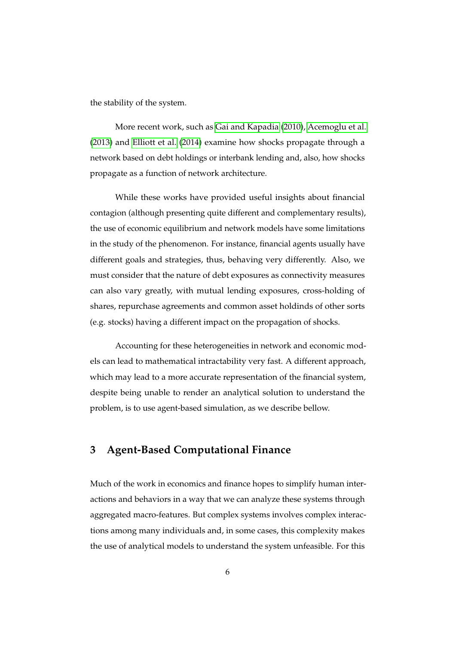the stability of the system.

More recent work, such as [Gai and Kapadia](#page-27-0) [\(2010\)](#page-27-0), [Acemoglu et al.](#page-26-1) [\(2013\)](#page-26-1) and [Elliott et al.](#page-27-1) [\(2014\)](#page-27-1) examine how shocks propagate through a network based on debt holdings or interbank lending and, also, how shocks propagate as a function of network architecture.

While these works have provided useful insights about financial contagion (although presenting quite different and complementary results), the use of economic equilibrium and network models have some limitations in the study of the phenomenon. For instance, financial agents usually have different goals and strategies, thus, behaving very differently. Also, we must consider that the nature of debt exposures as connectivity measures can also vary greatly, with mutual lending exposures, cross-holding of shares, repurchase agreements and common asset holdinds of other sorts (e.g. stocks) having a different impact on the propagation of shocks.

Accounting for these heterogeneities in network and economic models can lead to mathematical intractability very fast. A different approach, which may lead to a more accurate representation of the financial system, despite being unable to render an analytical solution to understand the problem, is to use agent-based simulation, as we describe bellow.

## <span id="page-5-0"></span>**3 Agent-Based Computational Finance**

Much of the work in economics and finance hopes to simplify human interactions and behaviors in a way that we can analyze these systems through aggregated macro-features. But complex systems involves complex interactions among many individuals and, in some cases, this complexity makes the use of analytical models to understand the system unfeasible. For this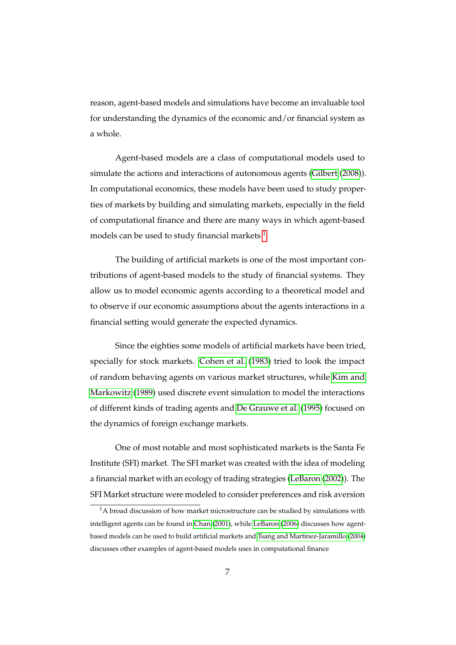reason, agent-based models and simulations have become an invaluable tool for understanding the dynamics of the economic and/or financial system as a whole.

Agent-based models are a class of computational models used to simulate the actions and interactions of autonomous agents [\(Gilbert](#page-27-3) [\(2008\)](#page-27-3)). In computational economics, these models have been used to study properties of markets by building and simulating markets, especially in the field of computational finance and there are many ways in which agent-based models can be used to study financial markets  $<sup>1</sup>$  $<sup>1</sup>$  $<sup>1</sup>$ </sup>

The building of artificial markets is one of the most important contributions of agent-based models to the study of financial systems. They allow us to model economic agents according to a theoretical model and to observe if our economic assumptions about the agents interactions in a financial setting would generate the expected dynamics.

Since the eighties some models of artificial markets have been tried, specially for stock markets. [Cohen et al.](#page-27-4) [\(1983\)](#page-27-4) tried to look the impact of random behaving agents on various market structures, while [Kim and](#page-28-3) [Markowitz](#page-28-3) [\(1989\)](#page-28-3) used discrete event simulation to model the interactions of different kinds of trading agents and [De Grauwe et al.](#page-27-5) [\(1995\)](#page-27-5) focused on the dynamics of foreign exchange markets.

One of most notable and most sophisticated markets is the Santa Fe Institute (SFI) market. The SFI market was created with the idea of modeling a financial market with an ecology of trading strategies [\(LeBaron](#page-28-4) [\(2002\)](#page-28-4)). The SFI Market structure were modeled to consider preferences and risk aversion

<span id="page-6-0"></span> $^1\mathrm{A}$  broad discussion of how market microstructure can be studied by simulations with intelligent agents can be found in [Chan](#page-27-6) [\(2001\)](#page-27-6), while [LeBaron](#page-28-5) [\(2006\)](#page-28-5) discusses how agentbased models can be used to build artificial markets and [Tsang and Martinez-Jaramillo](#page-30-0) [\(2004\)](#page-30-0) discusses other examples of agent-based models uses in computational finance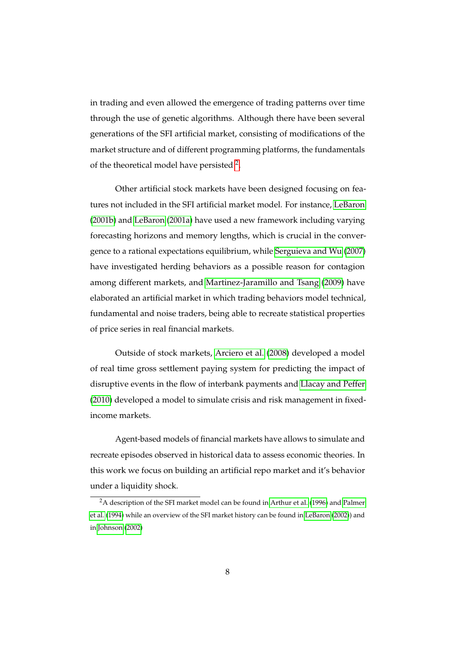in trading and even allowed the emergence of trading patterns over time through the use of genetic algorithms. Although there have been several generations of the SFI artificial market, consisting of modifications of the market structure and of different programming platforms, the fundamentals of the theoretical model have persisted <sup>[2](#page-7-0)</sup>.

Other artificial stock markets have been designed focusing on features not included in the SFI artificial market model. For instance, [LeBaron](#page-28-6) [\(2001b\)](#page-28-6) and [LeBaron](#page-28-7) [\(2001a\)](#page-28-7) have used a new framework including varying forecasting horizons and memory lengths, which is crucial in the convergence to a rational expectations equilibrium, while [Serguieva and Wu](#page-30-1) [\(2007\)](#page-30-1) have investigated herding behaviors as a possible reason for contagion among different markets, and [Martinez-Jaramillo and Tsang](#page-29-2) [\(2009\)](#page-29-2) have elaborated an artificial market in which trading behaviors model technical, fundamental and noise traders, being able to recreate statistical properties of price series in real financial markets.

Outside of stock markets, [Arciero et al.](#page-26-2) [\(2008\)](#page-26-2) developed a model of real time gross settlement paying system for predicting the impact of disruptive events in the flow of interbank payments and [Llacay and Peffer](#page-29-3) [\(2010\)](#page-29-3) developed a model to simulate crisis and risk management in fixedincome markets.

Agent-based models of financial markets have allows to simulate and recreate episodes observed in historical data to assess economic theories. In this work we focus on building an artificial repo market and it's behavior under a liquidity shock.

<span id="page-7-0"></span><sup>&</sup>lt;sup>2</sup>A description of the SFI market model can be found in [Arthur et al.](#page-26-3) [\(1996\)](#page-26-3) and [Palmer](#page-29-4) [et al.](#page-29-4) [\(1994\)](#page-29-4) while an overview of the SFI market history can be found in [LeBaron](#page-28-4) [\(2002\)](#page-28-4)) and in [Johnson](#page-28-8) [\(2002\)](#page-28-8)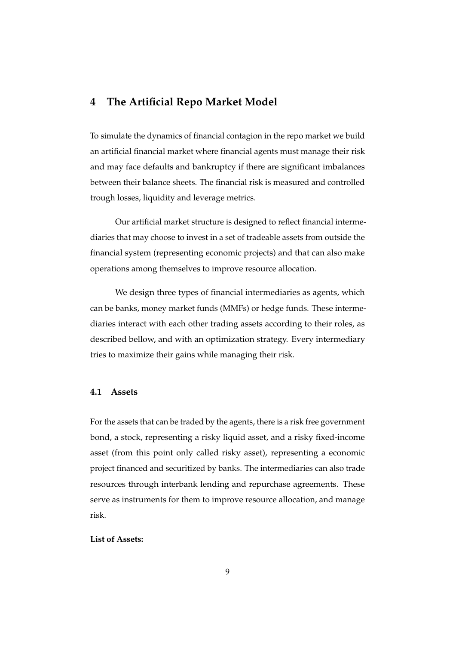### <span id="page-8-0"></span>**4 The Artificial Repo Market Model**

To simulate the dynamics of financial contagion in the repo market we build an artificial financial market where financial agents must manage their risk and may face defaults and bankruptcy if there are significant imbalances between their balance sheets. The financial risk is measured and controlled trough losses, liquidity and leverage metrics.

Our artificial market structure is designed to reflect financial intermediaries that may choose to invest in a set of tradeable assets from outside the financial system (representing economic projects) and that can also make operations among themselves to improve resource allocation.

We design three types of financial intermediaries as agents, which can be banks, money market funds (MMFs) or hedge funds. These intermediaries interact with each other trading assets according to their roles, as described bellow, and with an optimization strategy. Every intermediary tries to maximize their gains while managing their risk.

#### **4.1 Assets**

For the assets that can be traded by the agents, there is a risk free government bond, a stock, representing a risky liquid asset, and a risky fixed-income asset (from this point only called risky asset), representing a economic project financed and securitized by banks. The intermediaries can also trade resources through interbank lending and repurchase agreements. These serve as instruments for them to improve resource allocation, and manage risk.

#### **List of Assets:**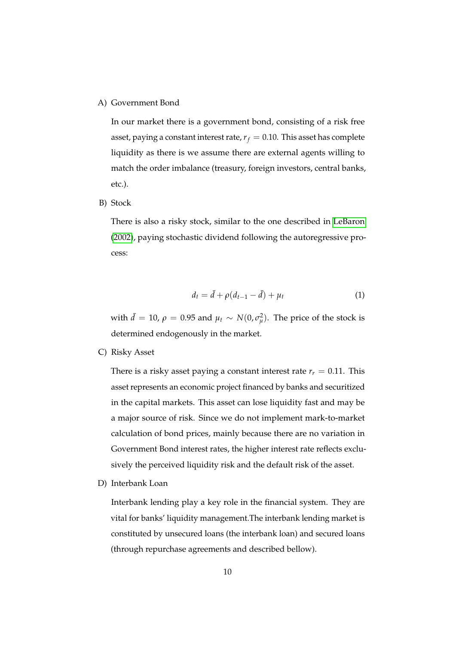#### A) Government Bond

In our market there is a government bond, consisting of a risk free asset, paying a constant interest rate,  $r_f = 0.10$ . This asset has complete liquidity as there is we assume there are external agents willing to match the order imbalance (treasury, foreign investors, central banks, etc.).

B) Stock

There is also a risky stock, similar to the one described in [LeBaron](#page-28-4) [\(2002\)](#page-28-4), paying stochastic dividend following the autoregressive process:

<span id="page-9-0"></span>
$$
d_t = \bar{d} + \rho(d_{t-1} - \bar{d}) + \mu_t \tag{1}
$$

with  $\bar{d} = 10$ ,  $\rho = 0.95$  and  $\mu_t \sim N(0, \sigma_{\mu}^2)$ . The price of the stock is determined endogenously in the market.

C) Risky Asset

There is a risky asset paying a constant interest rate  $r_r = 0.11$ . This asset represents an economic project financed by banks and securitized in the capital markets. This asset can lose liquidity fast and may be a major source of risk. Since we do not implement mark-to-market calculation of bond prices, mainly because there are no variation in Government Bond interest rates, the higher interest rate reflects exclusively the perceived liquidity risk and the default risk of the asset.

D) Interbank Loan

Interbank lending play a key role in the financial system. They are vital for banks' liquidity management.The interbank lending market is constituted by unsecured loans (the interbank loan) and secured loans (through repurchase agreements and described bellow).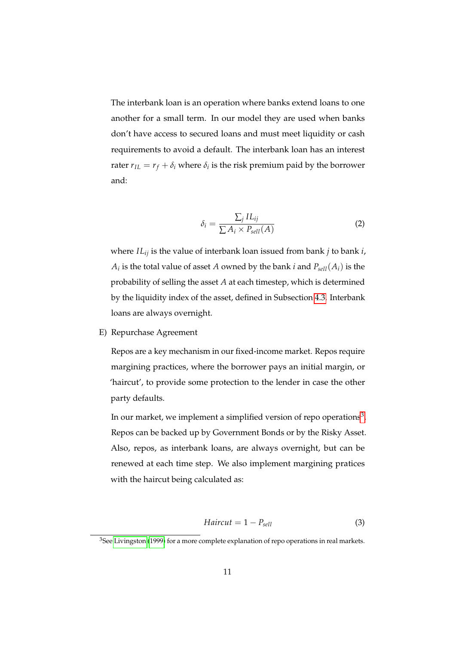The interbank loan is an operation where banks extend loans to one another for a small term. In our model they are used when banks don't have access to secured loans and must meet liquidity or cash requirements to avoid a default. The interbank loan has an interest rater  $r_{IL} = r_f + \delta_i$  where  $\delta_i$  is the risk premium paid by the borrower and:

$$
\delta_i = \frac{\sum_j IL_{ij}}{\sum A_i \times P_{sell}(A)}\tag{2}
$$

where *ILij* is the value of interbank loan issued from bank *j* to bank *i*,  $A_i$  is the total value of asset *A* owned by the bank *i* and  $P_{sell}(A_i)$  is the probability of selling the asset *A* at each timestep, which is determined by the liquidity index of the asset, defined in Subsection [4.3.](#page-15-0) Interbank loans are always overnight.

#### E) Repurchase Agreement

Repos are a key mechanism in our fixed-income market. Repos require margining practices, where the borrower pays an initial margin, or 'haircut', to provide some protection to the lender in case the other party defaults.

In our market, we implement a simplified version of repo operations $^3$  $^3$ . Repos can be backed up by Government Bonds or by the Risky Asset. Also, repos, as interbank loans, are always overnight, but can be renewed at each time step. We also implement margining pratices with the haircut being calculated as:

$$
Haircut = 1 - Psell
$$
 (3)

<span id="page-10-0"></span><sup>&</sup>lt;sup>3</sup>See [Livingston](#page-29-5) [\(1999\)](#page-29-5) for a more complete explanation of repo operations in real markets.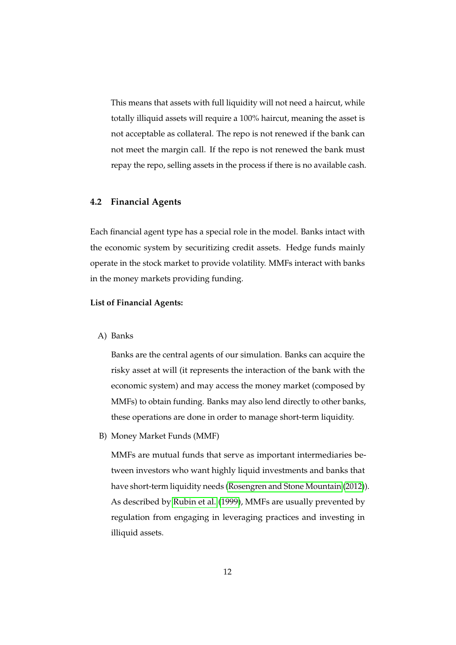This means that assets with full liquidity will not need a haircut, while totally illiquid assets will require a 100% haircut, meaning the asset is not acceptable as collateral. The repo is not renewed if the bank can not meet the margin call. If the repo is not renewed the bank must repay the repo, selling assets in the process if there is no available cash.

#### **4.2 Financial Agents**

Each financial agent type has a special role in the model. Banks intact with the economic system by securitizing credit assets. Hedge funds mainly operate in the stock market to provide volatility. MMFs interact with banks in the money markets providing funding.

#### **List of Financial Agents:**

A) Banks

Banks are the central agents of our simulation. Banks can acquire the risky asset at will (it represents the interaction of the bank with the economic system) and may access the money market (composed by MMFs) to obtain funding. Banks may also lend directly to other banks, these operations are done in order to manage short-term liquidity.

B) Money Market Funds (MMF)

MMFs are mutual funds that serve as important intermediaries between investors who want highly liquid investments and banks that have short-term liquidity needs [\(Rosengren and Stone Mountain](#page-29-6) [\(2012\)](#page-29-6)). As described by [Rubin et al.](#page-29-7) [\(1999\)](#page-29-7), MMFs are usually prevented by regulation from engaging in leveraging practices and investing in illiquid assets.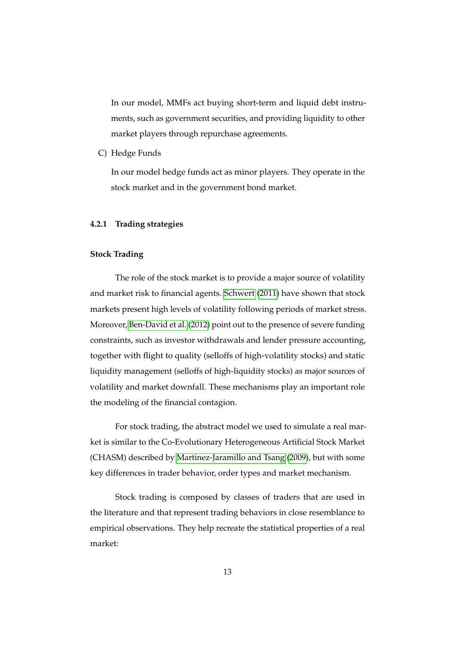In our model, MMFs act buying short-term and liquid debt instruments, such as government securities, and providing liquidity to other market players through repurchase agreements.

C) Hedge Funds

In our model hedge funds act as minor players. They operate in the stock market and in the government bond market.

#### **4.2.1 Trading strategies**

#### **Stock Trading**

The role of the stock market is to provide a major source of volatility and market risk to financial agents. [Schwert](#page-30-2) [\(2011\)](#page-30-2) have shown that stock markets present high levels of volatility following periods of market stress. Moreover, [Ben-David et al.](#page-27-7) [\(2012\)](#page-27-7) point out to the presence of severe funding constraints, such as investor withdrawals and lender pressure accounting, together with flight to quality (selloffs of high-volatility stocks) and static liquidity management (selloffs of high-liquidity stocks) as major sources of volatility and market downfall. These mechanisms play an important role the modeling of the financial contagion.

For stock trading, the abstract model we used to simulate a real market is similar to the Co-Evolutionary Heterogeneous Artificial Stock Market (CHASM) described by [Martinez-Jaramillo and Tsang](#page-29-2) [\(2009\)](#page-29-2), but with some key differences in trader behavior, order types and market mechanism.

Stock trading is composed by classes of traders that are used in the literature and that represent trading behaviors in close resemblance to empirical observations. They help recreate the statistical properties of a real market: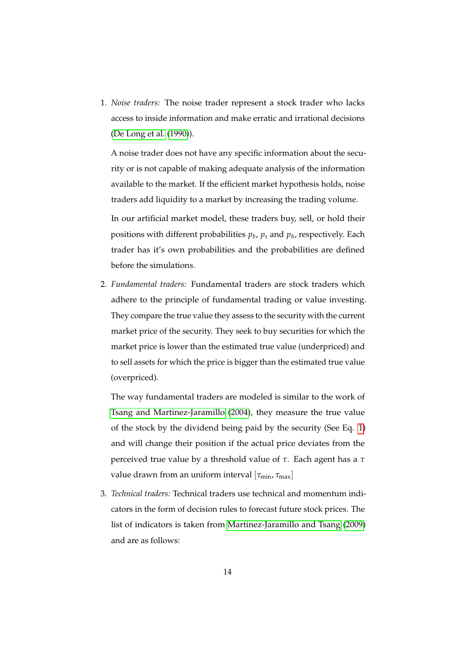1. *Noise traders:* The noise trader represent a stock trader who lacks access to inside information and make erratic and irrational decisions [\(De Long et al.](#page-27-8) [\(1990\)](#page-27-8)).

A noise trader does not have any specific information about the security or is not capable of making adequate analysis of the information available to the market. If the efficient market hypothesis holds, noise traders add liquidity to a market by increasing the trading volume.

In our artificial market model, these traders buy, sell, or hold their positions with different probabilities *p<sup>b</sup>* , *p<sup>s</sup>* and *p<sup>h</sup>* , respectively. Each trader has it's own probabilities and the probabilities are defined before the simulations.

2. *Fundamental traders:* Fundamental traders are stock traders which adhere to the principle of fundamental trading or value investing. They compare the true value they assess to the security with the current market price of the security. They seek to buy securities for which the market price is lower than the estimated true value (underpriced) and to sell assets for which the price is bigger than the estimated true value (overpriced).

The way fundamental traders are modeled is similar to the work of [Tsang and Martinez-Jaramillo](#page-30-0) [\(2004\)](#page-30-0), they measure the true value of the stock by the dividend being paid by the security (See Eq. [1\)](#page-9-0) and will change their position if the actual price deviates from the perceived true value by a threshold value of *τ*. Each agent has a *τ* value drawn from an uniform interval [*τ*min, *τ*max]

3. *Technical traders:* Technical traders use technical and momentum indicators in the form of decision rules to forecast future stock prices. The list of indicators is taken from [Martinez-Jaramillo and Tsang](#page-29-2) [\(2009\)](#page-29-2) and are as follows: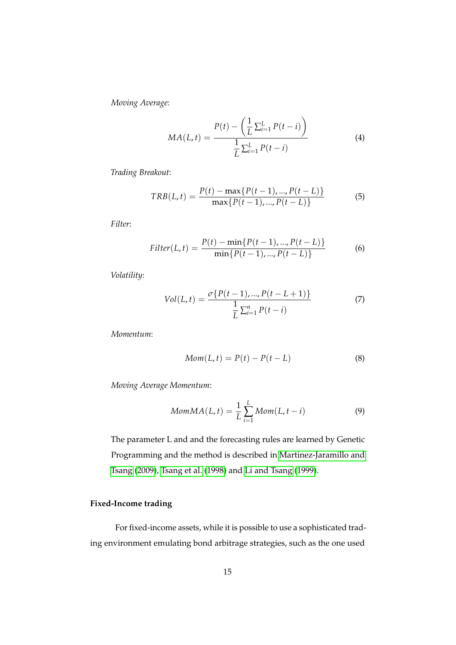*Moving Average*:

$$
MA(L, t) = \frac{P(t) - \left(\frac{1}{L} \sum_{i=1}^{L} P(t - i)\right)}{\frac{1}{L} \sum_{i=1}^{L} P(t - i)}
$$
(4)

*Trading Breakout*:

$$
TRB(L, t) = \frac{P(t) - \max\{P(t-1), ..., P(t-L)\}}{\max\{P(t-1), ..., P(t-L)\}}
$$
(5)

*Filter*:

$$
Filter(L, t) = \frac{P(t) - \min\{P(t-1), ..., P(t-L)\}}{\min\{P(t-1), ..., P(t-L)\}}
$$
(6)

*Volatility*:

$$
Vol(L, t) = \frac{\sigma\{P(t-1), ..., P(t-L+1)\}}{\frac{1}{L}\sum_{i=1}^{n} P(t-i)}
$$
(7)

*Momentum*:

$$
Mom(L, t) = P(t) - P(t - L)
$$
\n(8)

*Moving Average Momentum*:

$$
MomMA(L, t) = \frac{1}{L} \sum_{i=1}^{L} Mom(L, t - i)
$$
\n(9)

The parameter L and and the forecasting rules are learned by Genetic Programming and the method is described in [Martinez-Jaramillo and](#page-29-2) [Tsang](#page-29-2) [\(2009\)](#page-29-2), [Tsang et al.](#page-30-3) [\(1998\)](#page-30-3) and [Li and Tsang](#page-28-9) [\(1999\)](#page-28-9).

#### **Fixed-Income trading**

For fixed-income assets, while it is possible to use a sophisticated trading environment emulating bond arbitrage strategies, such as the one used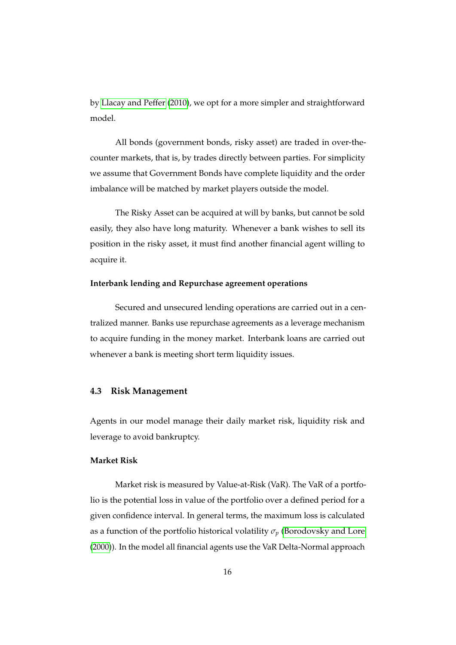by [Llacay and Peffer](#page-29-3) [\(2010\)](#page-29-3), we opt for a more simpler and straightforward model.

All bonds (government bonds, risky asset) are traded in over-thecounter markets, that is, by trades directly between parties. For simplicity we assume that Government Bonds have complete liquidity and the order imbalance will be matched by market players outside the model.

The Risky Asset can be acquired at will by banks, but cannot be sold easily, they also have long maturity. Whenever a bank wishes to sell its position in the risky asset, it must find another financial agent willing to acquire it.

#### **Interbank lending and Repurchase agreement operations**

Secured and unsecured lending operations are carried out in a centralized manner. Banks use repurchase agreements as a leverage mechanism to acquire funding in the money market. Interbank loans are carried out whenever a bank is meeting short term liquidity issues.

#### <span id="page-15-0"></span>**4.3 Risk Management**

Agents in our model manage their daily market risk, liquidity risk and leverage to avoid bankruptcy.

#### **Market Risk**

Market risk is measured by Value-at-Risk (VaR). The VaR of a portfolio is the potential loss in value of the portfolio over a defined period for a given confidence interval. In general terms, the maximum loss is calculated as a function of the portfolio historical volatility  $\sigma_p$  [\(Borodovsky and Lore](#page-27-9) [\(2000\)](#page-27-9)). In the model all financial agents use the VaR Delta-Normal approach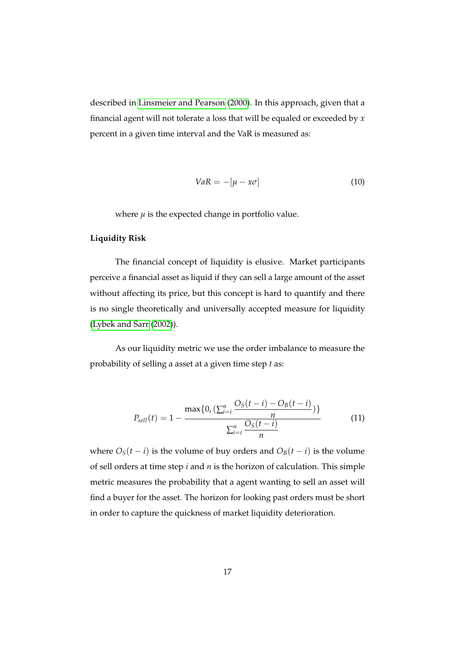described in [Linsmeier and Pearson](#page-28-10) [\(2000\)](#page-28-10). In this approach, given that a financial agent will not tolerate a loss that will be equaled or exceeded by *x* percent in a given time interval and the VaR is measured as:

$$
VaR = -[\mu - x\sigma] \tag{10}
$$

where  $\mu$  is the expected change in portfolio value.

#### **Liquidity Risk**

The financial concept of liquidity is elusive. Market participants perceive a financial asset as liquid if they can sell a large amount of the asset without affecting its price, but this concept is hard to quantify and there is no single theoretically and universally accepted measure for liquidity [\(Lybek and Sarr](#page-29-8) [\(2002\)](#page-29-8)).

As our liquidity metric we use the order imbalance to measure the probability of selling a asset at a given time step *t* as:

$$
P_{sell}(t) = 1 - \frac{\max\{0, (\sum_{i=i}^{n} \frac{O_S(t-i) - O_B(t-i)}{n})\}}{\sum_{i=i}^{n} \frac{O_S(t-i)}{n}}
$$
(11)

where  $O_S(t - i)$  is the volume of buy orders and  $O_B(t - i)$  is the volume of sell orders at time step *i* and *n* is the horizon of calculation. This simple metric measures the probability that a agent wanting to sell an asset will find a buyer for the asset. The horizon for looking past orders must be short in order to capture the quickness of market liquidity deterioration.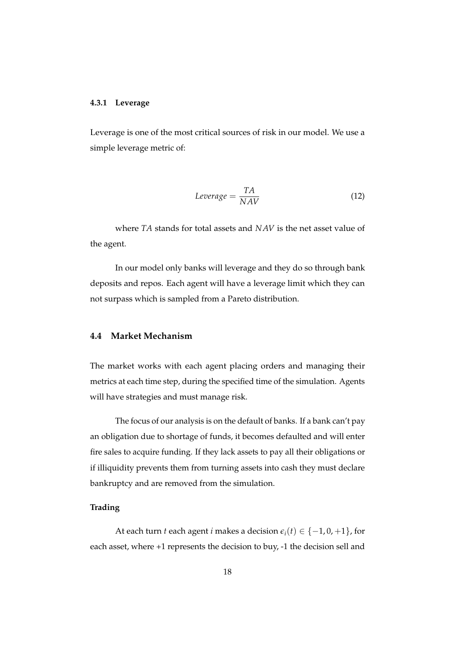#### **4.3.1 Leverage**

Leverage is one of the most critical sources of risk in our model. We use a simple leverage metric of:

$$
Leverage = \frac{TA}{NAV} \tag{12}
$$

where *TA* stands for total assets and *NAV* is the net asset value of the agent.

In our model only banks will leverage and they do so through bank deposits and repos. Each agent will have a leverage limit which they can not surpass which is sampled from a Pareto distribution.

#### **4.4 Market Mechanism**

The market works with each agent placing orders and managing their metrics at each time step, during the specified time of the simulation. Agents will have strategies and must manage risk.

The focus of our analysis is on the default of banks. If a bank can't pay an obligation due to shortage of funds, it becomes defaulted and will enter fire sales to acquire funding. If they lack assets to pay all their obligations or if illiquidity prevents them from turning assets into cash they must declare bankruptcy and are removed from the simulation.

#### **Trading**

At each turn *t* each agent *i* makes a decision  $\epsilon_i(t) \in \{-1, 0, +1\}$ , for each asset, where +1 represents the decision to buy, -1 the decision sell and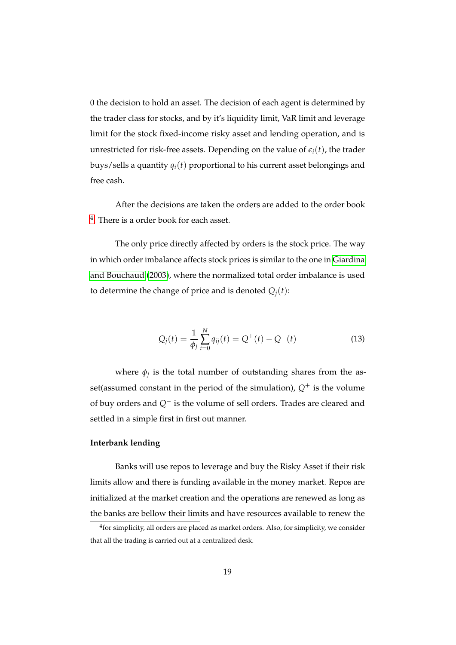0 the decision to hold an asset. The decision of each agent is determined by the trader class for stocks, and by it's liquidity limit, VaR limit and leverage limit for the stock fixed-income risky asset and lending operation, and is unrestricted for risk-free assets. Depending on the value of  $\epsilon_i(t)$ , the trader buys/sells a quantity  $q_i(t)$  proportional to his current asset belongings and free cash.

After the decisions are taken the orders are added to the order book [4](#page-18-0) . There is a order book for each asset.

The only price directly affected by orders is the stock price. The way in which order imbalance affects stock prices is similar to the one in [Giardina](#page-27-10) [and Bouchaud](#page-27-10) [\(2003\)](#page-27-10), where the normalized total order imbalance is used to determine the change of price and is denoted  $Q_i(t)$ :

$$
Q_j(t) = \frac{1}{\phi_j} \sum_{i=0}^{N} q_{ij}(t) = Q^+(t) - Q^-(t)
$$
\n(13)

where  $\phi_j$  is the total number of outstanding shares from the asset(assumed constant in the period of the simulation),  $Q^+$  is the volume of buy orders and *Q*<sup>−</sup> is the volume of sell orders. Trades are cleared and settled in a simple first in first out manner.

#### **Interbank lending**

Banks will use repos to leverage and buy the Risky Asset if their risk limits allow and there is funding available in the money market. Repos are initialized at the market creation and the operations are renewed as long as the banks are bellow their limits and have resources available to renew the

<span id="page-18-0"></span> $^4$ for simplicity, all orders are placed as market orders. Also, for simplicity, we consider that all the trading is carried out at a centralized desk.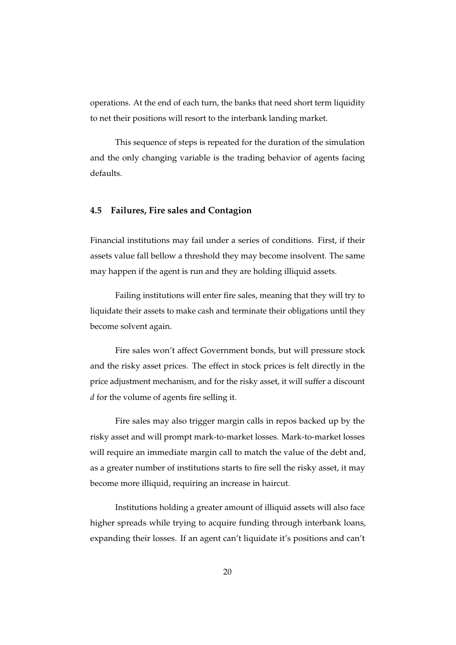operations. At the end of each turn, the banks that need short term liquidity to net their positions will resort to the interbank landing market.

This sequence of steps is repeated for the duration of the simulation and the only changing variable is the trading behavior of agents facing defaults.

#### **4.5 Failures, Fire sales and Contagion**

Financial institutions may fail under a series of conditions. First, if their assets value fall bellow a threshold they may become insolvent. The same may happen if the agent is run and they are holding illiquid assets.

Failing institutions will enter fire sales, meaning that they will try to liquidate their assets to make cash and terminate their obligations until they become solvent again.

Fire sales won't affect Government bonds, but will pressure stock and the risky asset prices. The effect in stock prices is felt directly in the price adjustment mechanism, and for the risky asset, it will suffer a discount *d* for the volume of agents fire selling it.

Fire sales may also trigger margin calls in repos backed up by the risky asset and will prompt mark-to-market losses. Mark-to-market losses will require an immediate margin call to match the value of the debt and, as a greater number of institutions starts to fire sell the risky asset, it may become more illiquid, requiring an increase in haircut.

Institutions holding a greater amount of illiquid assets will also face higher spreads while trying to acquire funding through interbank loans, expanding their losses. If an agent can't liquidate it's positions and can't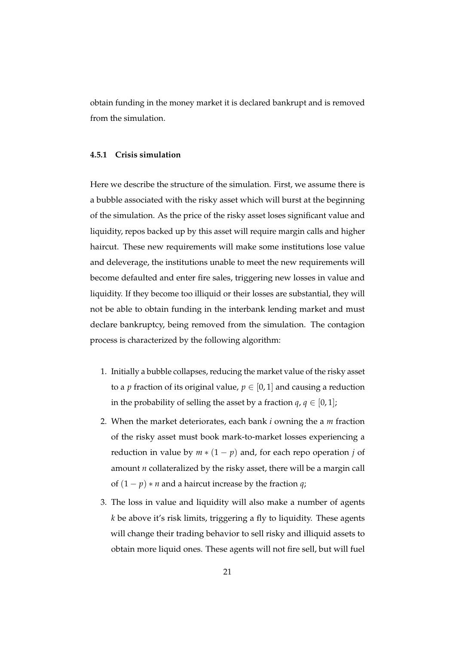obtain funding in the money market it is declared bankrupt and is removed from the simulation.

#### **4.5.1 Crisis simulation**

Here we describe the structure of the simulation. First, we assume there is a bubble associated with the risky asset which will burst at the beginning of the simulation. As the price of the risky asset loses significant value and liquidity, repos backed up by this asset will require margin calls and higher haircut. These new requirements will make some institutions lose value and deleverage, the institutions unable to meet the new requirements will become defaulted and enter fire sales, triggering new losses in value and liquidity. If they become too illiquid or their losses are substantial, they will not be able to obtain funding in the interbank lending market and must declare bankruptcy, being removed from the simulation. The contagion process is characterized by the following algorithm:

- 1. Initially a bubble collapses, reducing the market value of the risky asset to a *p* fraction of its original value,  $p \in [0,1]$  and causing a reduction in the probability of selling the asset by a fraction  $q, q \in [0, 1]$ ;
- 2. When the market deteriorates, each bank *i* owning the a *m* fraction of the risky asset must book mark-to-market losses experiencing a reduction in value by  $m * (1 - p)$  and, for each repo operation *j* of amount *n* collateralized by the risky asset, there will be a margin call of  $(1 - p) * n$  and a haircut increase by the fraction *q*;
- 3. The loss in value and liquidity will also make a number of agents *k* be above it's risk limits, triggering a fly to liquidity. These agents will change their trading behavior to sell risky and illiquid assets to obtain more liquid ones. These agents will not fire sell, but will fuel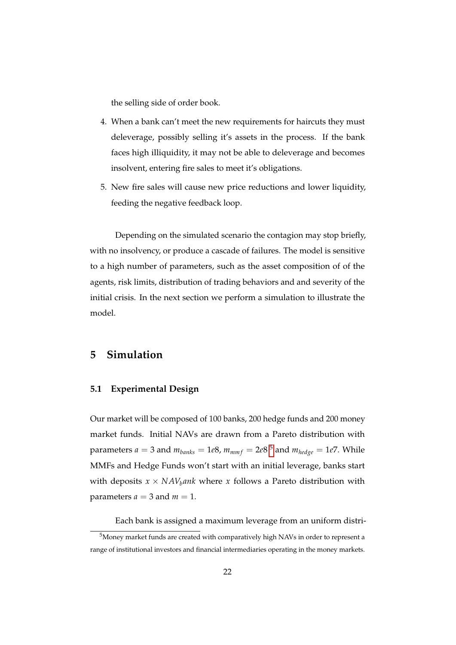the selling side of order book.

- 4. When a bank can't meet the new requirements for haircuts they must deleverage, possibly selling it's assets in the process. If the bank faces high illiquidity, it may not be able to deleverage and becomes insolvent, entering fire sales to meet it's obligations.
- 5. New fire sales will cause new price reductions and lower liquidity, feeding the negative feedback loop.

Depending on the simulated scenario the contagion may stop briefly, with no insolvency, or produce a cascade of failures. The model is sensitive to a high number of parameters, such as the asset composition of of the agents, risk limits, distribution of trading behaviors and and severity of the initial crisis. In the next section we perform a simulation to illustrate the model.

### <span id="page-21-0"></span>**5 Simulation**

#### **5.1 Experimental Design**

Our market will be composed of 100 banks, 200 hedge funds and 200 money market funds. Initial NAVs are drawn from a Pareto distribution with parameters  $a = 3$  and  $m_{banks} = 1e8$ ,  $m_{mmf} = 2e8$   $^5$  $^5$  and  $m_{hedge} = 1e7$ . While MMFs and Hedge Funds won't start with an initial leverage, banks start with deposits  $x \times NAV_h$ *ank* where *x* follows a Pareto distribution with parameters  $a = 3$  and  $m = 1$ .

Each bank is assigned a maximum leverage from an uniform distri-

<span id="page-21-1"></span><sup>5</sup>Money market funds are created with comparatively high NAVs in order to represent a range of institutional investors and financial intermediaries operating in the money markets.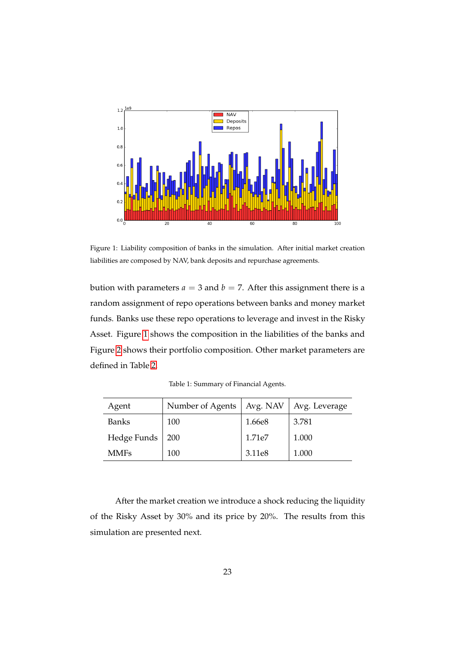<span id="page-22-0"></span>

Figure 1: Liability composition of banks in the simulation. After initial market creation liabilities are composed by NAV, bank deposits and repurchase agreements.

bution with parameters  $a = 3$  and  $b = 7$ . After this assignment there is a random assignment of repo operations between banks and money market funds. Banks use these repo operations to leverage and invest in the Risky Asset. Figure [1](#page-22-0) shows the composition in the liabilities of the banks and Figure [2](#page-23-0) shows their portfolio composition. Other market parameters are defined in Table [2.](#page-23-1)

| Agent        | Number of Agents | Avg. NAV $\vert$ | Avg. Leverage |
|--------------|------------------|------------------|---------------|
| <b>Banks</b> | 100              | 1.66e8           | 3.781         |
| Hedge Funds  | 200              | 1.71e7           | 1.000         |
| <b>MMFs</b>  | 100              | 3.11e8           | 1.000         |

Table 1: Summary of Financial Agents.

After the market creation we introduce a shock reducing the liquidity of the Risky Asset by 30% and its price by 20%. The results from this simulation are presented next.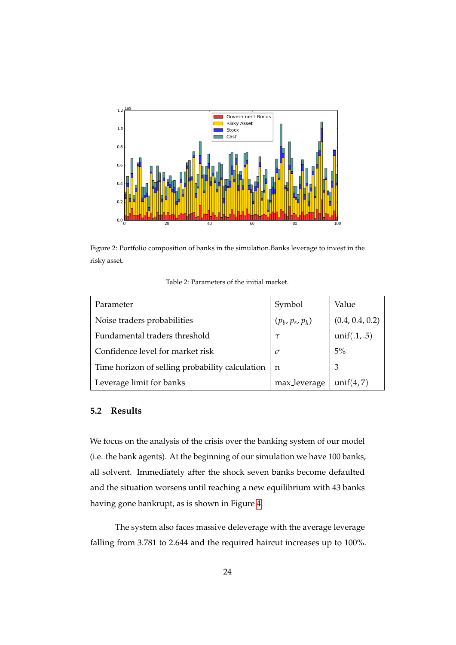<span id="page-23-0"></span>

<span id="page-23-1"></span>Figure 2: Portfolio composition of banks in the simulation.Banks leverage to invest in the risky asset.

|--|

| Parameter                                       | Symbol            | Value           |
|-------------------------------------------------|-------------------|-----------------|
| Noise traders probabilities                     | $(p_b, p_s, p_h)$ | (0.4, 0.4, 0.2) |
| Fundamental traders threshold                   | τ                 | unif(.1,.5)     |
| Confidence level for market risk                | $\sigma$          | 5%              |
| Time horizon of selling probability calculation | n                 | 3               |
| Leverage limit for banks                        | max_leverage      | unif $(4,7)$    |

#### **5.2 Results**

We focus on the analysis of the crisis over the banking system of our model (i.e. the bank agents). At the beginning of our simulation we have 100 banks, all solvent. Immediately after the shock seven banks become defaulted and the situation worsens until reaching a new equilibrium with 43 banks having gone bankrupt, as is shown in Figure [4.](#page-25-0)

The system also faces massive deleverage with the average leverage falling from 3.781 to 2.644 and the required haircut increases up to 100%.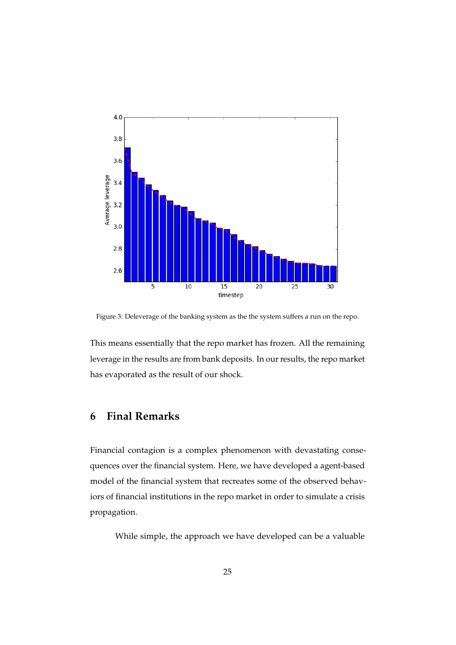

Figure 3: Deleverage of the banking system as the the system suffers a run on the repo.

This means essentially that the repo market has frozen. All the remaining leverage in the results are from bank deposits. In our results, the repo market has evaporated as the result of our shock.

## <span id="page-24-0"></span>**6 Final Remarks**

Financial contagion is a complex phenomenon with devastating consequences over the financial system. Here, we have developed a agent-based model of the financial system that recreates some of the observed behaviors of financial institutions in the repo market in order to simulate a crisis propagation.

While simple, the approach we have developed can be a valuable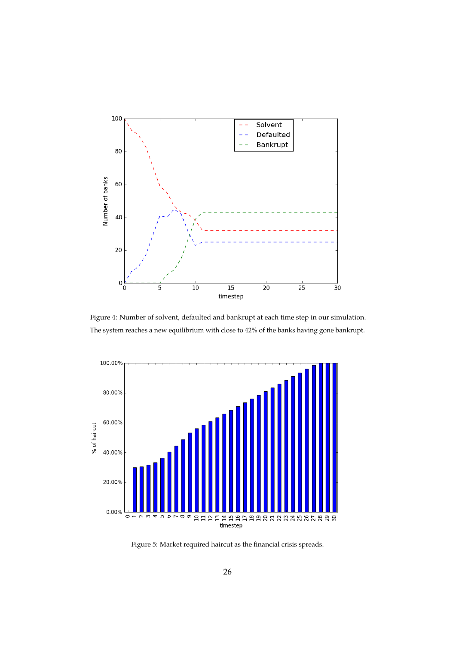<span id="page-25-0"></span>

Figure 4: Number of solvent, defaulted and bankrupt at each time step in our simulation. The system reaches a new equilibrium with close to 42% of the banks having gone bankrupt.



Figure 5: Market required haircut as the financial crisis spreads.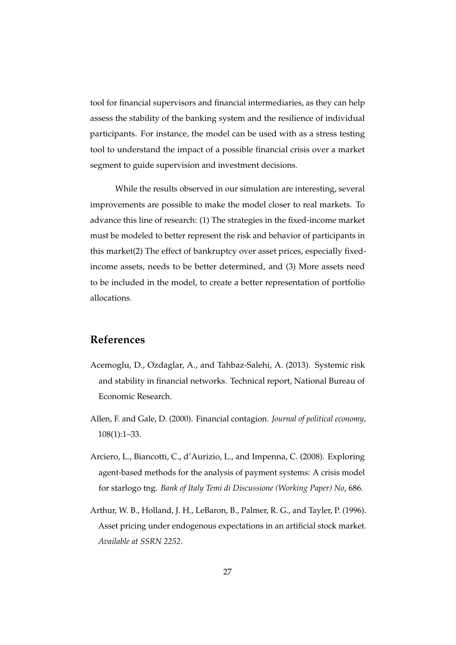tool for financial supervisors and financial intermediaries, as they can help assess the stability of the banking system and the resilience of individual participants. For instance, the model can be used with as a stress testing tool to understand the impact of a possible financial crisis over a market segment to guide supervision and investment decisions.

While the results observed in our simulation are interesting, several improvements are possible to make the model closer to real markets. To advance this line of research: (1) The strategies in the fixed-income market must be modeled to better represent the risk and behavior of participants in this market(2) The effect of bankruptcy over asset prices, especially fixedincome assets, needs to be better determined, and (3) More assets need to be included in the model, to create a better representation of portfolio allocations.

## **References**

- <span id="page-26-1"></span>Acemoglu, D., Ozdaglar, A., and Tahbaz-Salehi, A. (2013). Systemic risk and stability in financial networks. Technical report, National Bureau of Economic Research.
- <span id="page-26-0"></span>Allen, F. and Gale, D. (2000). Financial contagion. *Journal of political economy*, 108(1):1–33.
- <span id="page-26-2"></span>Arciero, L., Biancotti, C., d'Aurizio, L., and Impenna, C. (2008). Exploring agent-based methods for the analysis of payment systems: A crisis model for starlogo tng. *Bank of Italy Temi di Discussione (Working Paper) No*, 686.
- <span id="page-26-3"></span>Arthur, W. B., Holland, J. H., LeBaron, B., Palmer, R. G., and Tayler, P. (1996). Asset pricing under endogenous expectations in an artificial stock market. *Available at SSRN 2252*.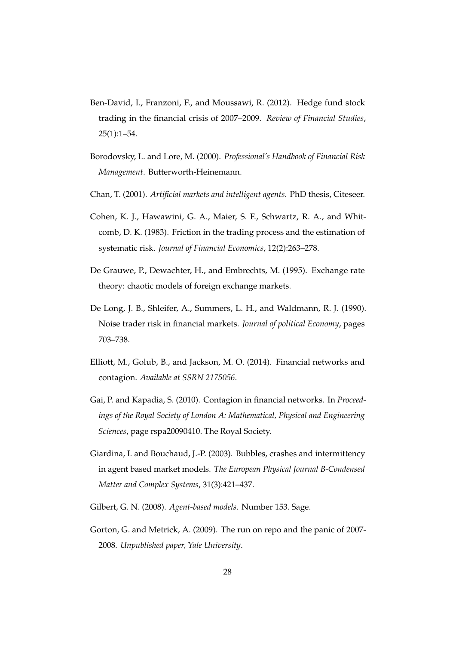- <span id="page-27-7"></span>Ben-David, I., Franzoni, F., and Moussawi, R. (2012). Hedge fund stock trading in the financial crisis of 2007–2009. *Review of Financial Studies*, 25(1):1–54.
- <span id="page-27-9"></span>Borodovsky, L. and Lore, M. (2000). *Professional's Handbook of Financial Risk Management*. Butterworth-Heinemann.
- <span id="page-27-6"></span>Chan, T. (2001). *Artificial markets and intelligent agents*. PhD thesis, Citeseer.
- <span id="page-27-4"></span>Cohen, K. J., Hawawini, G. A., Maier, S. F., Schwartz, R. A., and Whitcomb, D. K. (1983). Friction in the trading process and the estimation of systematic risk. *Journal of Financial Economics*, 12(2):263–278.
- <span id="page-27-5"></span>De Grauwe, P., Dewachter, H., and Embrechts, M. (1995). Exchange rate theory: chaotic models of foreign exchange markets.
- <span id="page-27-8"></span>De Long, J. B., Shleifer, A., Summers, L. H., and Waldmann, R. J. (1990). Noise trader risk in financial markets. *Journal of political Economy*, pages 703–738.
- <span id="page-27-1"></span>Elliott, M., Golub, B., and Jackson, M. O. (2014). Financial networks and contagion. *Available at SSRN 2175056*.
- <span id="page-27-0"></span>Gai, P. and Kapadia, S. (2010). Contagion in financial networks. In *Proceedings of the Royal Society of London A: Mathematical, Physical and Engineering Sciences*, page rspa20090410. The Royal Society.
- <span id="page-27-10"></span>Giardina, I. and Bouchaud, J.-P. (2003). Bubbles, crashes and intermittency in agent based market models. *The European Physical Journal B-Condensed Matter and Complex Systems*, 31(3):421–437.
- <span id="page-27-3"></span>Gilbert, G. N. (2008). *Agent-based models*. Number 153. Sage.
- <span id="page-27-2"></span>Gorton, G. and Metrick, A. (2009). The run on repo and the panic of 2007- 2008. *Unpublished paper, Yale University*.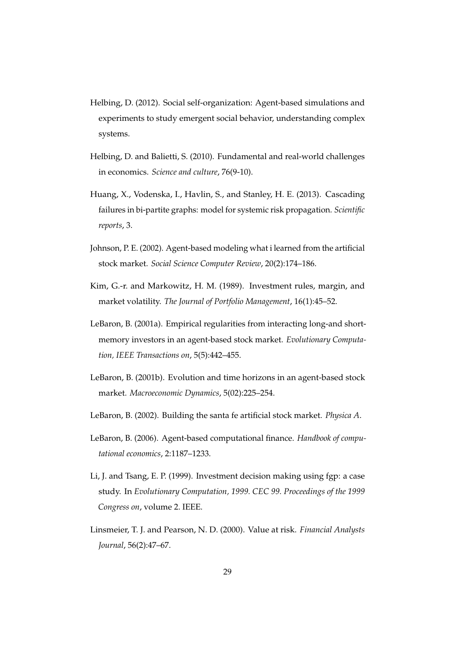- <span id="page-28-2"></span>Helbing, D. (2012). Social self-organization: Agent-based simulations and experiments to study emergent social behavior, understanding complex systems.
- <span id="page-28-1"></span>Helbing, D. and Balietti, S. (2010). Fundamental and real-world challenges in economics. *Science and culture*, 76(9-10).
- <span id="page-28-0"></span>Huang, X., Vodenska, I., Havlin, S., and Stanley, H. E. (2013). Cascading failures in bi-partite graphs: model for systemic risk propagation. *Scientific reports*, 3.
- <span id="page-28-8"></span>Johnson, P. E. (2002). Agent-based modeling what i learned from the artificial stock market. *Social Science Computer Review*, 20(2):174–186.
- <span id="page-28-3"></span>Kim, G.-r. and Markowitz, H. M. (1989). Investment rules, margin, and market volatility. *The Journal of Portfolio Management*, 16(1):45–52.
- <span id="page-28-7"></span>LeBaron, B. (2001a). Empirical regularities from interacting long-and shortmemory investors in an agent-based stock market. *Evolutionary Computation, IEEE Transactions on*, 5(5):442–455.
- <span id="page-28-6"></span>LeBaron, B. (2001b). Evolution and time horizons in an agent-based stock market. *Macroeconomic Dynamics*, 5(02):225–254.
- <span id="page-28-4"></span>LeBaron, B. (2002). Building the santa fe artificial stock market. *Physica A*.
- <span id="page-28-5"></span>LeBaron, B. (2006). Agent-based computational finance. *Handbook of computational economics*, 2:1187–1233.
- <span id="page-28-9"></span>Li, J. and Tsang, E. P. (1999). Investment decision making using fgp: a case study. In *Evolutionary Computation, 1999. CEC 99. Proceedings of the 1999 Congress on*, volume 2. IEEE.
- <span id="page-28-10"></span>Linsmeier, T. J. and Pearson, N. D. (2000). Value at risk. *Financial Analysts Journal*, 56(2):47–67.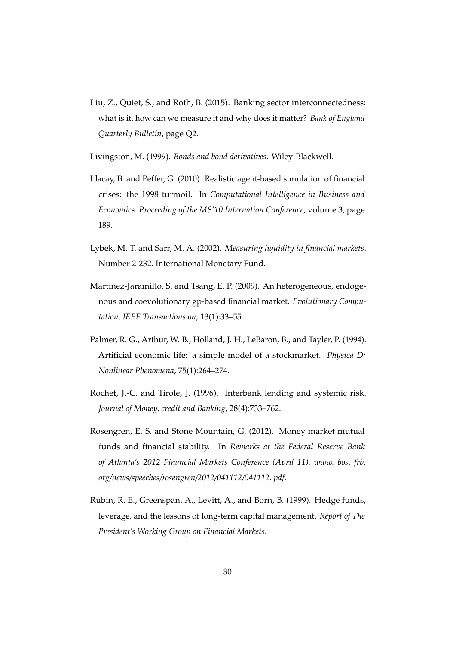<span id="page-29-0"></span>Liu, Z., Quiet, S., and Roth, B. (2015). Banking sector interconnectedness: what is it, how can we measure it and why does it matter? *Bank of England Quarterly Bulletin*, page Q2.

<span id="page-29-5"></span>Livingston, M. (1999). *Bonds and bond derivatives*. Wiley-Blackwell.

- <span id="page-29-3"></span>Llacay, B. and Peffer, G. (2010). Realistic agent-based simulation of financial crises: the 1998 turmoil. In *Computational Intelligence in Business and Economics. Proceeding of the MS'10 Internation Conference*, volume 3, page 189.
- <span id="page-29-8"></span>Lybek, M. T. and Sarr, M. A. (2002). *Measuring liquidity in financial markets*. Number 2-232. International Monetary Fund.
- <span id="page-29-2"></span>Martinez-Jaramillo, S. and Tsang, E. P. (2009). An heterogeneous, endogenous and coevolutionary gp-based financial market. *Evolutionary Computation, IEEE Transactions on*, 13(1):33–55.
- <span id="page-29-4"></span>Palmer, R. G., Arthur, W. B., Holland, J. H., LeBaron, B., and Tayler, P. (1994). Artificial economic life: a simple model of a stockmarket. *Physica D: Nonlinear Phenomena*, 75(1):264–274.
- <span id="page-29-1"></span>Rochet, J.-C. and Tirole, J. (1996). Interbank lending and systemic risk. *Journal of Money, credit and Banking*, 28(4):733–762.
- <span id="page-29-6"></span>Rosengren, E. S. and Stone Mountain, G. (2012). Money market mutual funds and financial stability. In *Remarks at the Federal Reserve Bank of Atlanta's 2012 Financial Markets Conference (April 11). www. bos. frb. org/news/speeches/rosengren/2012/041112/041112. pdf*.
- <span id="page-29-7"></span>Rubin, R. E., Greenspan, A., Levitt, A., and Born, B. (1999). Hedge funds, leverage, and the lessons of long-term capital management. *Report of The President's Working Group on Financial Markets*.